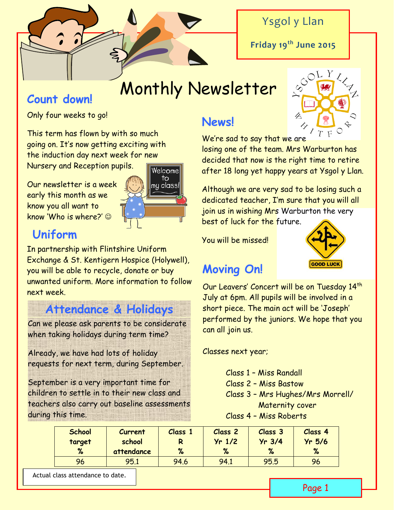

## Ysgol y Llan

**Friday 19th June 2015**

# Monthly Newsletter

## **Count down!**

Only four weeks to go!

This term has flown by with so much going on. It's now getting exciting with the induction day next week for new Nursery and Reception pupils.

Our newsletter is a week early this month as we know you all want to know 'Who is where?'



## You will be missed! **Uniform**

In partnership with Flintshire Uniform Exchange & St. Kentigern Hospice (Holywell), you will be able to recycle, donate or buy unwanted uniform. More information to follow next week.

## **Attendance & Holidays**

Can we please ask parents to be considerate when taking holidays during term time?

Already, we have had lots of holiday requests for next term, during September.

September is a very important time for children to settle in to their new class and teachers also carry out baseline assessments during this time.

## **News!**

We're sad to say that we are

losing one of the team. Mrs Warburton has decided that now is the right time to retire after 18 long yet happy years at Ysgol y Llan.

Although we are very sad to be losing such a dedicated teacher, I'm sure that you will all join us in wishing Mrs Warburton the very

best of luck for the future.



## **Moving On!**

Our Leavers' Concert will be on Tuesday 14th July at 6pm. All pupils will be involved in a short piece. The main act will be 'Joseph' performed by the juniors. We hope that you can all join us.

Classes next year;

Class 1 – Miss Randall

- Class 2 Miss Bastow
- Class 3 Mrs Hughes/Mrs Morrell/ Maternity cover
- Class 4 Miss Roberts

| <b>School</b><br>target<br>% | <b>Current</b><br>school<br>attendance | <b>Class</b><br>D<br>% | Class <sub>2</sub><br>$Yr$ 1/2<br>% | Class 3<br>$Yr$ 3/4<br>% | Class 4<br>$Yr$ 5/6 |
|------------------------------|----------------------------------------|------------------------|-------------------------------------|--------------------------|---------------------|
|                              |                                        |                        |                                     |                          |                     |
| 96                           | 95.1                                   | 94.6                   | 94.1                                | 95.5                     | 96                  |

Actual class attendance to date.